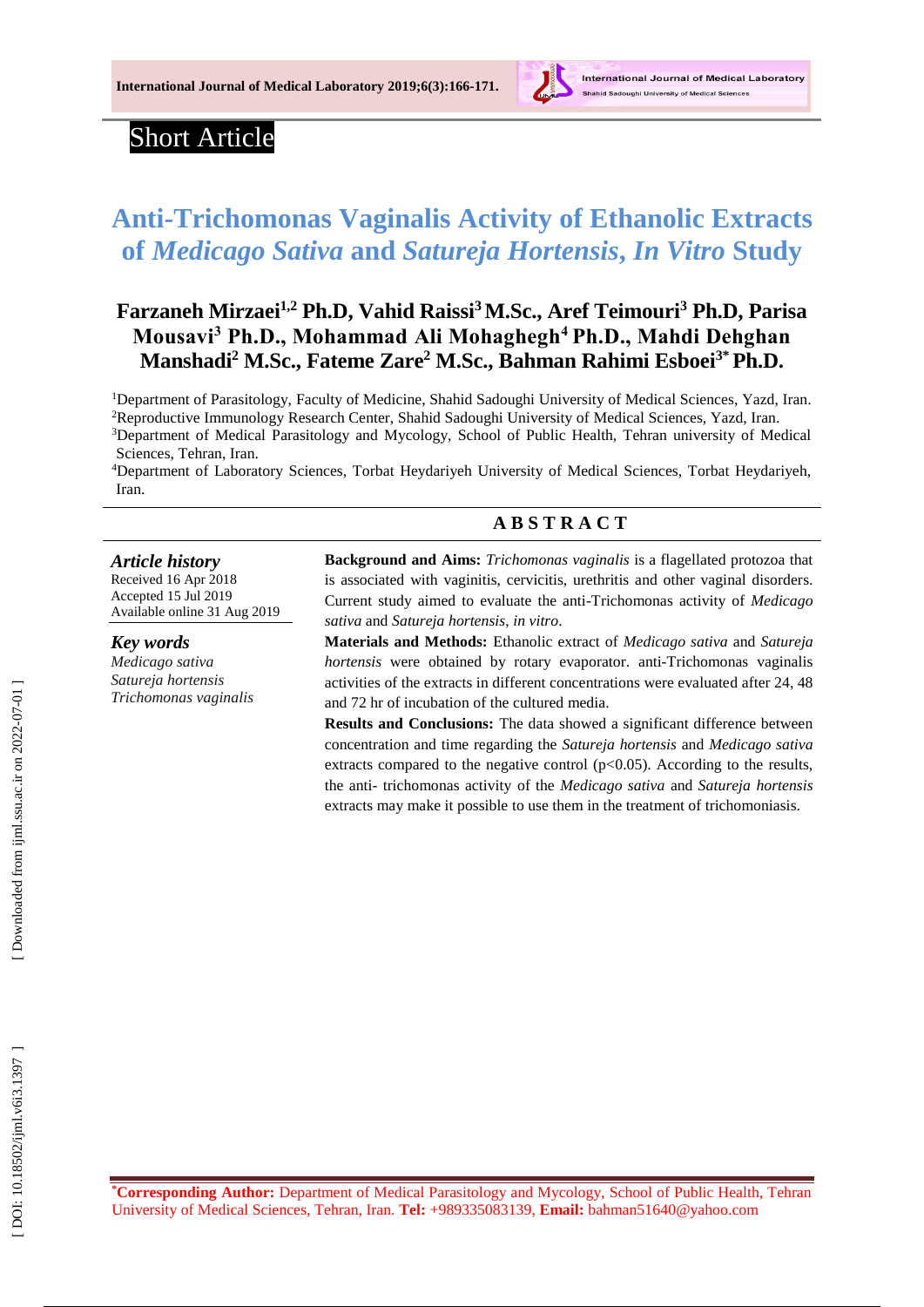

# Short Article

# **Anti -Trichomonas Vaginalis Activity of Ethanolic Extracts of** *Medicago Sativa* **and** *Satureja Hortensis***,** *In Vitro* **Study**

# **Farzaneh Mirzaei1,2 Ph.D, Vahid Raissi <sup>3</sup>M.Sc., Aref Teimouri <sup>3</sup> Ph.D, Parisa Mousavi <sup>3</sup> Ph.D., Mohammad Ali Mohaghegh <sup>4</sup> Ph.D., Mahdi Dehghan M anshadi <sup>2</sup> M.Sc., Fateme Zare <sup>2</sup> M.S c., Bahman Rahimi Esboei 3\* Ph.D.**

<sup>1</sup>Department of Parasitology, Faculty of Medicine, Shahid Sadoughi University of Medical Sciences, Yazd, Iran. <sup>2</sup>Reproductive Immunology Research Center, Shahid Sadoughi University of Medical Sciences, Yazd, Iran. <sup>3</sup>Department of Medical Parasitology and Mycology, School of Public Health, Tehran university of Medical Sciences, Tehran, Iran.

<sup>4</sup>Department of Laboratory Sciences, Torbat Heydariyeh University of Medical Sciences, Torbat Heydariyeh, Iran.

## **A B S T R A C T**

#### *Article history*

Received 16 Apr 201 8 Accepted 1 5 Jul 201 9 Available online 31 Aug 201 9

#### *Key words*

*Medicago sativa Satureja hortensis Trichomonas vaginalis* **Background and Aims:** *Trichomonas vaginalis* is a flagellated protozoa that is associated with vaginitis, cervicitis, urethritis and other vaginal disorders. Current study aimed to evaluate the anti -Trichomonas activity of *Medicago sativa* and *Satureja hortensis*, *in vitro* .

**Materials and Methods:** Ethanolic extract of *Medicago sativa* and *Satureja hortensis* were obtained by rotary evaporator. anti -Trichomonas vaginalis activities of the extracts in different concentrations were evaluate d after 24, 48 and 72 hr of incubation of the cultured media.

**Results and Conclusions:** The data showed a significant difference between concentration and time regarding the *Satureja hortensis* and *Medicago sativa* extracts compared to the negative control  $(p<0.05)$ . According to the results, the anti - trichomonas activity of the *Medicago sativa* and *Satureja hortensis* extracts may make it possible to use them in the treatment of trichomoniasis.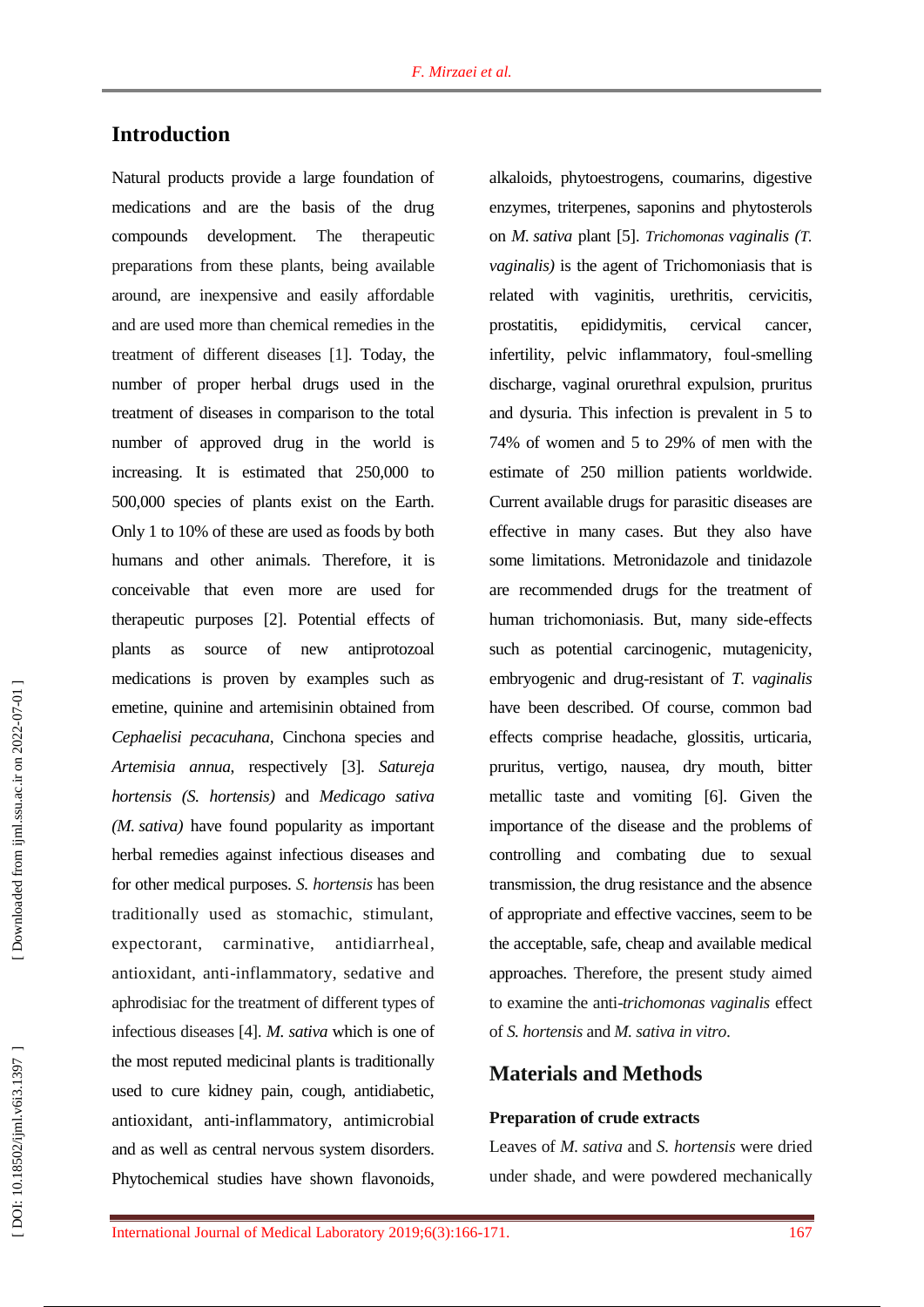# **Introduction**

Natural products provide a large foundation of medications and are the basis of the drug compounds development. The therapeutic preparations from these plants, being available around, are inexpensive and easily affordable and are used more than chemical remedies in the treatment of different diseases [ 1 ]. Today, the number of proper herbal drugs used in the treatment of diseases in comparison to the total number of approved drug in the world is increasing. It is estimated that 250,000 to 500,000 species of plants exist on the Earth. Only 1 to 10% of these are used as foods by both humans and other animals. Therefore, it is conceivable that even more are used for therapeutic purposes [ 2 ] . Potential effects of plants as source of new antiprotozoal medications is proven by examples such as emetine, quinine and artemisinin obtained from *Cephaelisi pecacuhana*, Cinchona species and *Artemisia annua*, respectively [ 3 ] . *Satureja hortensis (S. hortensis)* and *Medicago sativa (M. sativa)* have found popularity as important herbal remedies against infectious diseases and for other medical purposes. *S. hortensis* has been traditionally used as stomachic, stimulant, expectorant, carminative, antidiarrheal, antioxidant, anti -inflammatory, sedative and aphrodisiac for the treatment of different types of infectious diseases [ 4 ] . *M. sativa* which is one of the most reputed medicinal plants is traditionally used to cure kidney pain, cough, antidiabetic, antioxidant, anti -inflammatory, antimicrobial and as well as central nervous system disorders. Phytochemical studies have shown flavonoids,

alkaloids, phytoestrogens, coumarins, digestive enzymes, triterpenes, saponins and phytosterols on *M. sativa* plant [ 5 ] . *Trichomonas vaginalis (T. vaginalis)* is the agent of Trichomoniasis that is related with vaginitis, urethritis, cervicitis, prostatitis, epididymitis, cervical cancer, infertility, pelvic inflammatory, foul -smelling discharge, vaginal orurethral expulsion, pruritus and dysuria. This infection is prevalent in 5 to 74% of women and 5 to 29% of men with the estimate of 250 million patients worldwide . Current available drugs for parasitic diseases are effective in many cases. But they also have some limitations. Metronidazole and tinidazole are recommended drugs for the treatment of human trichomoniasis. But, many side - effects such as potential carcinogenic, mutagenicity, embryogenic and drug-resistant of *T. vaginalis* have been described. Of course, common bad effects comprise headache, glossitis, urticaria, pruritus, vertigo, nausea, dry mouth, bitter metallic taste and vomiting [ 6 ]. Given the importance of the disease and the problems of controlling and combating due to sexual transmission, the drug resistance and the absence of appropriate and effective vaccines, seem to be the acceptable, safe, cheap and available medical approaches. Therefore, the present study aimed to examine the anti -*trichomonas vaginalis* effect of *S. hortensis* and *M. sativa in vitro* .

## **Materials and Methods**

#### **Preparation of crude extracts**

Leaves of *M. sativa* and *S. hortensis* were dried under shade, and were powdered mechanically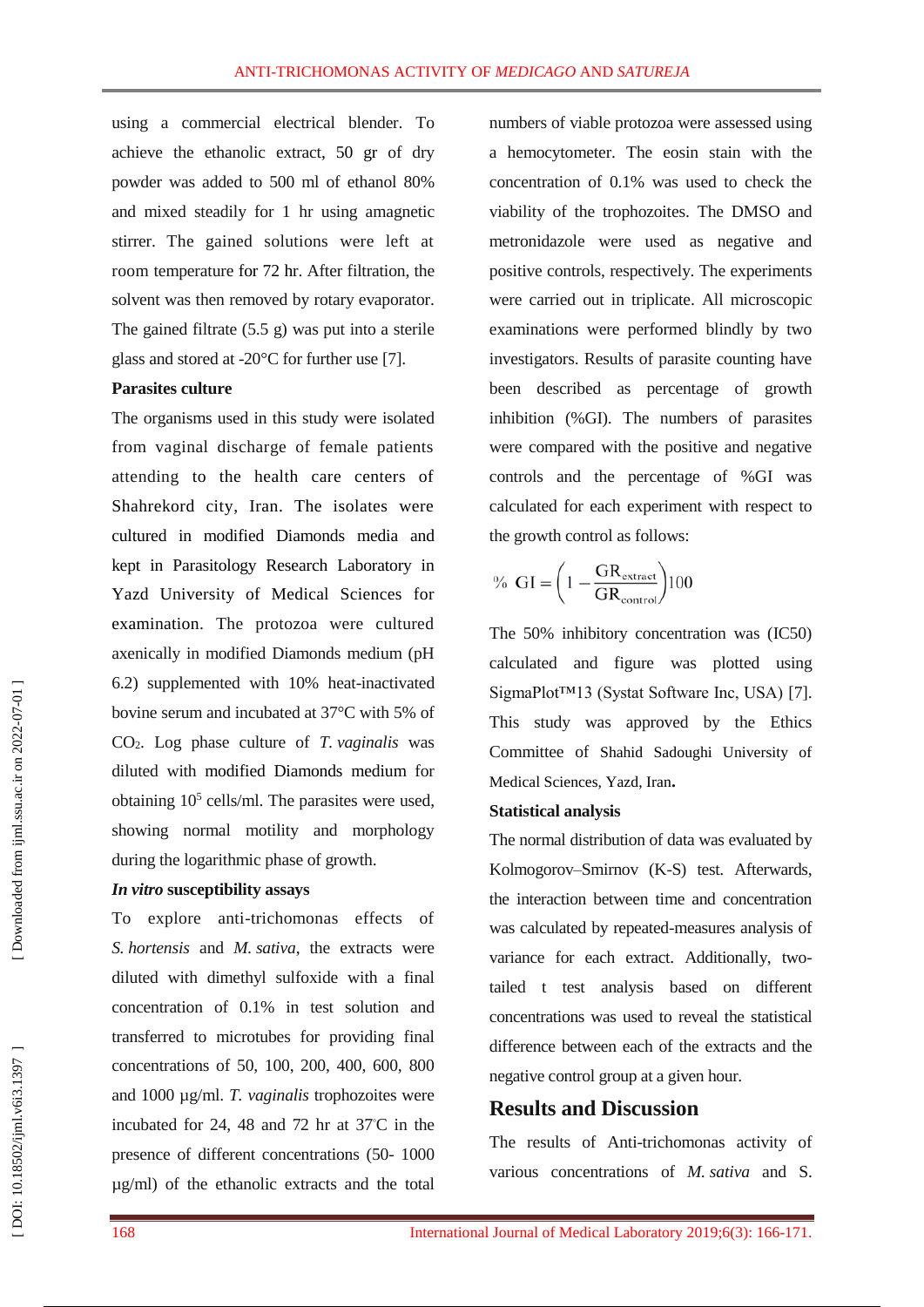using a commercial electrical blender. To achieve the ethanolic extract, 50 gr of dry powder was added to 500 ml of ethanol 80 % and mixed steadily for 1 h r using amagnetic stirrer. The gained solutions were left at roo m temperature for 72 hr. After filtration, the solvent was then removed by rotary evaporator. The gained filtrate (5.5 g) was put into a sterile glass and stored at -20°C for further use [7].

#### **Parasites culture**

The organisms used in this study were isolated from vaginal discharge of female patients attending to the health care centers of Shahrekord city, Iran. The isolates were cultured in modified Diamonds media and kept in Parasitology Research Laboratory in Yazd University of Medical Sciences for examination. The protozoa were cultured axenically in modified Diamonds medium (pH 6.2) supplemented with 10% heat -inactivated bovine serum and incubated at 37°C with 5% of CO <sup>2</sup>. Log phase culture of *T. vaginalis* was diluted with modified Diamonds medium for obtaining 10 5 cells/ml. The parasites were used, showing normal motility and morphology during the logarithmic phase of growth.

#### *In vitro* **susceptibility assays**

To explore anti -trichomonas effects of *S. hortensis* and *M. sativa*, the extracts were diluted with dimethyl sulfoxide with a final concentration of 0.1% in test solution and transferred to microtubes for providing final concentrations of 50, 100, 200, 400, 600, 800 and 1000 µg/ml. *T. vaginalis* trophozoites were incubated for 24, 48 and 72 hr at  $37^{\circ}$ C in the presence of different concentrations (50-1000 µg/ml) of the ethanolic extracts and the total

numbers of viable protozoa were assessed using a hemocytometer. The eosin stain with the concentration of 0.1% was used to check the viability of the trophozoites. The DMSO and metronidazole were used as negative and positive controls, respectively. The experiments were carried out in triplicate. All microscopic examinations were performed blindly by two investigators. Results of parasite counting have been described as percentage of growth inhibition ( %GI). The numbers of parasites were compared with the positive and negative controls and the percentage of %GI was calculated for each experiment with respect to the growth control as follows:

$$
\% \text{ GI} = \left(1 - \frac{\text{GR}_{\text{extract}}}{\text{GR}_{\text{control}}}\right)100
$$

The 50% inhibitory concentration was (IC50) calculated and figure was plotted using SigmaPlot™13 (Systat Software Inc, USA) [ 7 ]. This study was approved by the Ethics Committee of Shahid Sadoughi University of Medical Sciences, Yazd, Iran **.**

#### **Statistical analysis**

The normal distribution of data was evaluated by Kolmogorov–Smirnov (K -S) test. Afterwards, the interaction between time and concentration was calculated by repeated -measures analysis of variance for each extract. Additionally, two tailed t test analysis based on different concentrations was used to reveal the statistical difference between each of the extracts and the negative control group at a given hour.

### **Results and Discussion**

The results of Anti -trichomonas activity of various concentrations of *M. sativa* and S.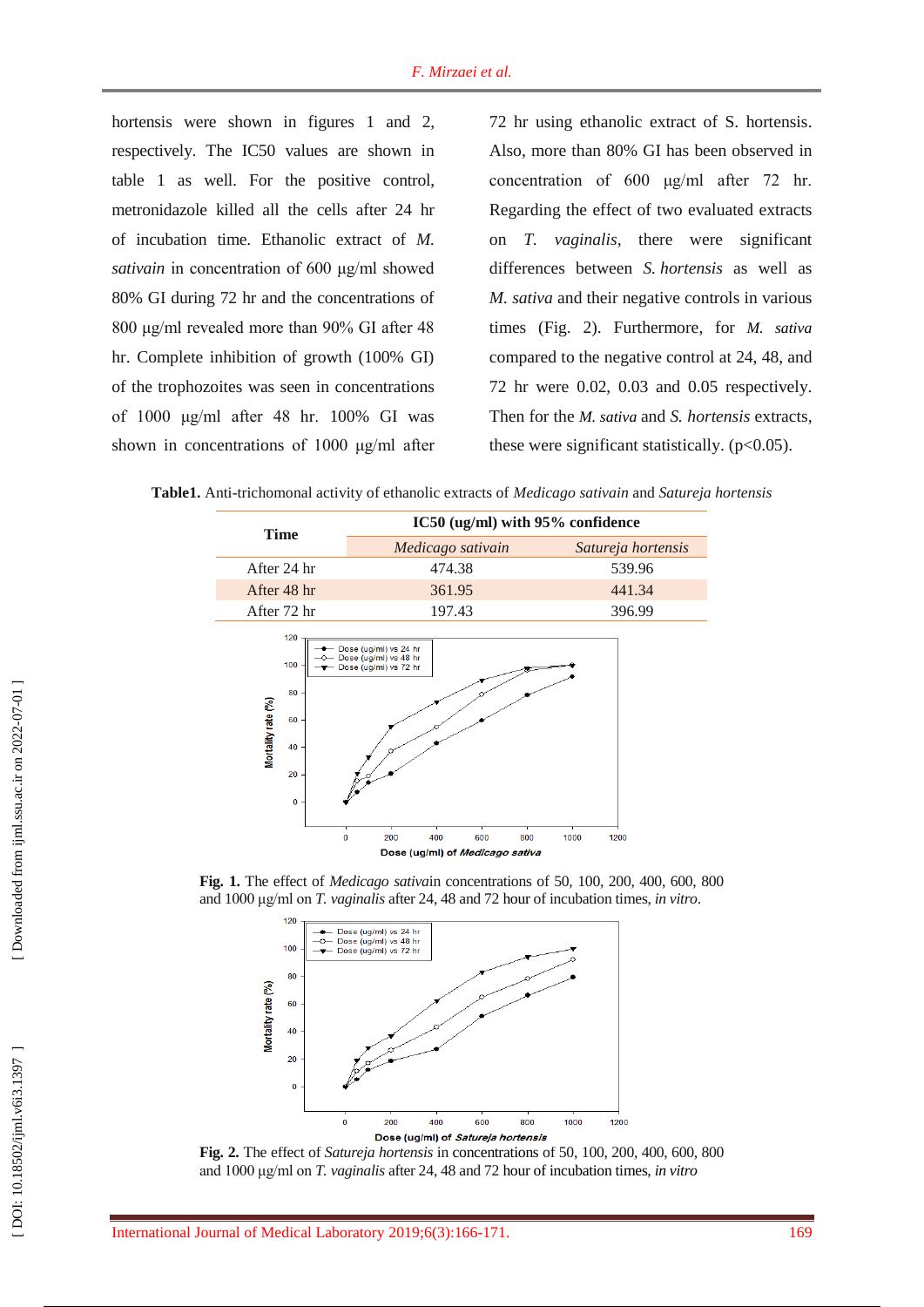hortensis were shown in figures 1 and 2, respectively. The IC50 values are shown in table 1 as well. For the positive control, metronidazole killed all the cells after 24 h r of incubation time. Ethanolic extract of *M. sativain* in concentration of 600 μg/ml showed 80% GI during 72 hr and the concentrations of 800 μg/ml revealed more than 90% GI after 48 hr. Complete inhibition of growth (100% GI) of the trophozoites was seen in concentrations of 1000 μg/ml after 48 hr. 100% GI was shown in concentration s of 1000 μg/ml after 72 hr using ethanolic extract of S. hortensis. Also, more than 80% GI has been observed in concentration of 600 μg/ml after 72 hr. Regarding the effect of two evaluated extracts on *T. vaginalis*, there were significant differences between *S. hortensis* as well as *M. sativa* and their negative controls in various times (Fig. 2 ). Furthermore , for *M. sativa* compared to the negative control at 24, 48 , and 72 hr were 0.02, 0.03 and 0.05 respectively. Then for the *M. sativa* and *S . hortensis* extracts, these were significant statistically.  $(p<0.05)$ .

**Table1 .** Anti -trichomonal activity of ethanolic extracts of *Medicago sativain* and *Satureja hortensis*



**Fig . 1 .** The effect of *Medicago sativa*in concentrations of 50, 100, 200, 400, 600, 800 and 1000 μg/ml on *T. vaginalis* after 24, 48 and 72 hour of incubation times, *in vitro* .



**Fig. 2 .** The effect of *Satureja hortensis* in concentrations of 50, 100, 200, 400, 600, 800 and 1000 μg/ml on *T. vaginalis* after 24, 48 and 72 hour of incubation times, *in vitro*

 [\[ DOI: 10.18502/ijml.v6i3.1397 \]](http://dx.doi.org/10.18502/ijml.v6i3.1397 ) [\[ Downloaded from ijml.ssu.ac.ir on 2022-](https://ijml.ssu.ac.ir/article-1-233-en.html)07-01 ]

DOI: 10.18502/ijml.v6i3.1397

Downloaded from ijml.ssu.ac.ir on 2022-07-01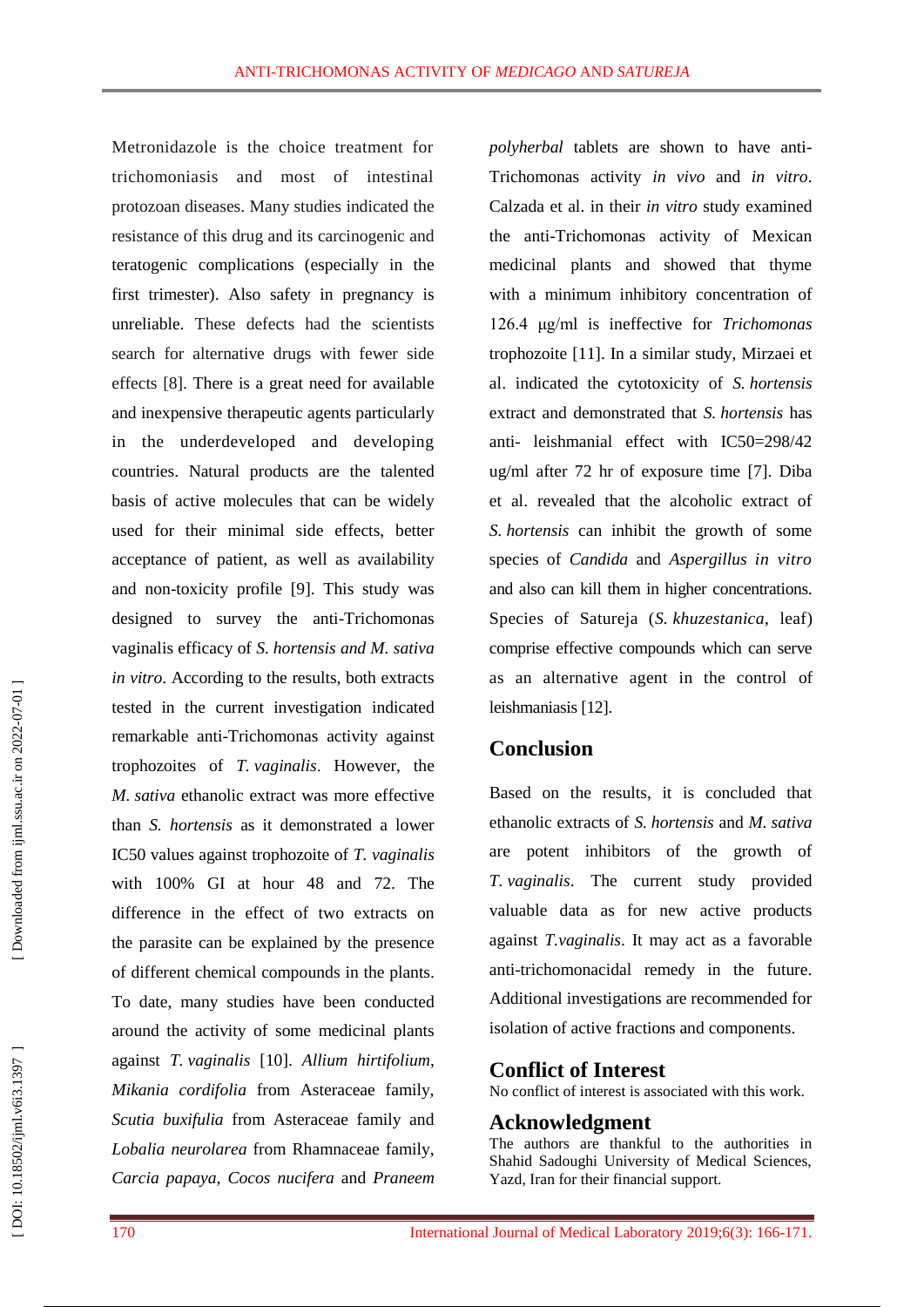Metronidazole is the choice treatment for trichomoniasis and most of intestinal protozoan diseases. Many studies indicated the resistance of this drug and its carcinogenic and teratogenic complications (especially in the first trimester). Also safety in pregnancy is unreliable. These defects had the scientists search for alternative drugs with fewer side effects [ 8 ]. There is a great need for available and inexpensive therapeutic agents particularly in the underdeveloped and developing countries. Natural products are the talented basis of active molecules that can be widely used for their minimal side effects, better acceptance of patient, as well as availability and non -toxicity profile [ 9 ]. This study was designed to survey the anti -Trichomonas vaginalis efficacy of *S. hortensis and M. sativa in vitro*. According to the results, both extracts tested in the current investigation indicated remarkable anti -Trichomonas activity against trophozoites of *T. vaginalis* . However, the *M. sativa* ethanolic extract was more effective than *S. hortensis* as it demonstrated a lower IC50 values against trophozoite of *T. vaginalis* with 100% GI at hour 48 and 72. The difference in the effect of two extracts on the parasite can be explained by the presence of different chemical compounds in the plants. To date, many studies have been conducted around the activity of some medicinal plants against *T. vaginalis*  [10 ]. *Allium hirtifolium*, *Mikania cordifolia* from Asteraceae family, *Scutia buxifulia* from Asteraceae family and *Lobalia neurolarea* from Rhamnaceae family, *Carcia papaya* , *Cocos nucifera* and *Praneem*

*polyherbal* tablets are shown to have anti - Trichomonas activity *in vivo* and *in vitro*. Calzada et al . in their *in vitro* study examine d the anti -Trichomonas activity of Mexican medicinal plants and showed that thyme with a minimum inhibitory concentration of 126.4 μg/m l is ineffective for *Trichomonas*  trophozoite [11 ]. In a similar study, Mirzaei et al . indicated the cytotoxicity of *S. hortensis* extract and demonstrated that *S. hortensis* has anti - leishmanial effect with IC50=298/42 ug/ml after 72 hr of exposure time [ 7 ]. Diba et al . revealed that the alcoholic extract of *S. hortensis* can inhibit the growth of some species of *Candida* and *Aspergillus in vitro* and also can kill them in higher concentrations. Specie s of Satureja (*S. khuzestanica*, leaf) comprise effective compounds which can serve as an alternative agent in the control of leishmaniasis [12 ] .

## **Conclusion**

Based on the results , it is conclude d that ethanolic extracts of *S. hortensis* and *M. sativa* are potent inhibitors of the growth of *T. vaginalis*. The current study provided valuable data as fo r new active products against *T.vaginalis*. It may act as a favorable anti -trichomonacidal remedy in the future. Additional investigations are recommended for isolation of active fractions and components.

## **Conflict of Interest**

No conflict of interest is associated with this work.

## **Acknowledgment**

The authors are thankful to the authorities in Shahid Sadoughi University of Medical Sciences, Yazd, Iran for their financial support.